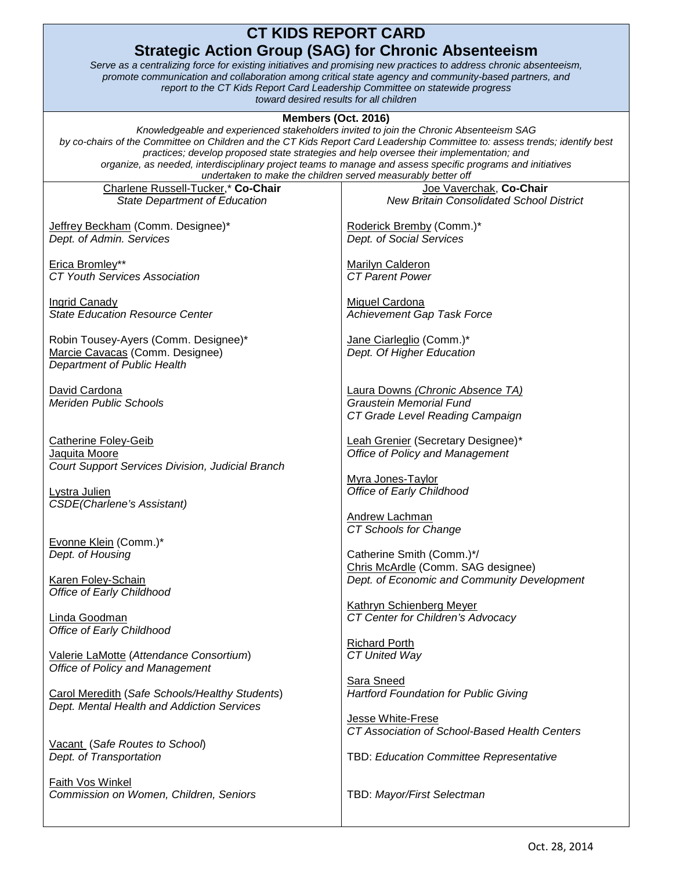## **CT KIDS REPORT CARD Strategic Action Group (SAG) for Chronic Absenteeism**

*Serve as a centralizing force for existing initiatives and promising new practices to address chronic absenteeism, promote communication and collaboration among critical state agency and community-based partners, and report to the CT Kids Report Card Leadership Committee on statewide progress toward desired results for all children* 

## **Members (Oct. 2016)**

*Knowledgeable and experienced stakeholders invited to join the Chronic Absenteeism SAG by co-chairs of the Committee on Children and the CT Kids Report Card Leadership Committee to: assess trends; identify best practices; develop proposed state strategies and help oversee their implementation; and organize, as needed, interdisciplinary project teams to manage and assess specific programs and initiatives undertaken to make the children served measurably better off*

| undertaken to make the children served measurably better off |                                                 |
|--------------------------------------------------------------|-------------------------------------------------|
| Charlene Russell-Tucker,* Co-Chair                           | Joe Vaverchak, Co-Chair                         |
| <b>State Department of Education</b>                         | <b>New Britain Consolidated School District</b> |
|                                                              |                                                 |
|                                                              |                                                 |
| Jeffrey Beckham (Comm. Designee)*                            | Roderick Bremby (Comm.)*                        |
| Dept. of Admin. Services                                     | Dept. of Social Services                        |
|                                                              |                                                 |
| Erica Bromley**                                              | <b>Marilyn Calderon</b>                         |
| <b>CT Youth Services Association</b>                         | <b>CT Parent Power</b>                          |
|                                                              |                                                 |
|                                                              |                                                 |
| <b>Ingrid Canady</b>                                         | <b>Miguel Cardona</b>                           |
| <b>State Education Resource Center</b>                       | <b>Achievement Gap Task Force</b>               |
|                                                              |                                                 |
|                                                              |                                                 |
| Robin Tousey-Ayers (Comm. Designee)*                         | Jane Ciarleglio (Comm.)*                        |
| Marcie Cavacas (Comm. Designee)                              | Dept. Of Higher Education                       |
| Department of Public Health                                  |                                                 |
|                                                              |                                                 |
| David Cardona                                                | Laura Downs (Chronic Absence TA)                |
| <b>Meriden Public Schools</b>                                | <b>Graustein Memorial Fund</b>                  |
|                                                              |                                                 |
|                                                              | CT Grade Level Reading Campaign                 |
|                                                              |                                                 |
| <b>Catherine Foley-Geib</b>                                  | Leah Grenier (Secretary Designee)*              |
| Jaquita Moore                                                | <b>Office of Policy and Management</b>          |
| Court Support Services Division, Judicial Branch             |                                                 |
|                                                              |                                                 |
|                                                              | Myra Jones-Taylor                               |
| Lystra Julien                                                | Office of Early Childhood                       |
| <b>CSDE(Charlene's Assistant)</b>                            |                                                 |
|                                                              | Andrew Lachman                                  |
|                                                              | CT Schools for Change                           |
|                                                              |                                                 |
| Evonne Klein (Comm.)*                                        |                                                 |
| Dept. of Housing                                             | Catherine Smith (Comm.)*/                       |
|                                                              | Chris McArdle (Comm. SAG designee)              |
| <b>Karen Foley-Schain</b>                                    | Dept. of Economic and Community Development     |
| Office of Early Childhood                                    |                                                 |
|                                                              |                                                 |
|                                                              | <b>Kathryn Schienberg Meyer</b>                 |
| Linda Goodman                                                | CT Center for Children's Advocacy               |
| Office of Early Childhood                                    |                                                 |
|                                                              | <b>Richard Porth</b>                            |
| Valerie LaMotte (Attendance Consortium)                      | CT United Way                                   |
|                                                              |                                                 |
| Office of Policy and Management                              |                                                 |
|                                                              | Sara Sneed                                      |
| Carol Meredith (Safe Schools/Healthy Students)               | <b>Hartford Foundation for Public Giving</b>    |
| Dept. Mental Health and Addiction Services                   |                                                 |
|                                                              | Jesse White-Frese                               |
|                                                              |                                                 |
|                                                              | CT Association of School-Based Health Centers   |
| Vacant (Safe Routes to School)                               |                                                 |
| Dept. of Transportation                                      | TBD: Education Committee Representative         |
|                                                              |                                                 |
| Faith Vos Winkel                                             |                                                 |
|                                                              |                                                 |
| Commission on Women, Children, Seniors                       | TBD: Mayor/First Selectman                      |
|                                                              |                                                 |